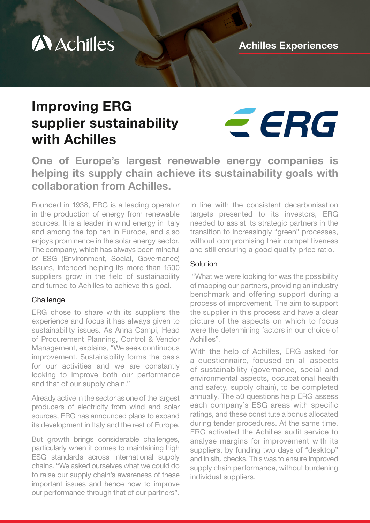

# Improving ERG supplier sustainability with Achilles



One of Europe's largest renewable energy companies is helping its supply chain achieve its sustainability goals with collaboration from Achilles.

Founded in 1938, ERG is a leading operator in the production of energy from renewable sources. It is a leader in wind energy in Italy and among the top ten in Europe, and also enjoys prominence in the solar energy sector. The company, which has always been mindful of ESG (Environment, Social, Governance) issues, intended helping its more than 1500 suppliers grow in the field of sustainability and turned to Achilles to achieve this goal.

#### **Challenge**

ERG chose to share with its suppliers the experience and focus it has always given to sustainability issues. As Anna Campi, Head of Procurement Planning, Control & Vendor Management, explains, "We seek continuous improvement. Sustainability forms the basis for our activities and we are constantly looking to improve both our performance and that of our supply chain."

Already active in the sector as one of the largest producers of electricity from wind and solar sources, ERG has announced plans to expand its development in Italy and the rest of Europe.

But growth brings considerable challenges, particularly when it comes to maintaining high ESG standards across international supply chains. "We asked ourselves what we could do to raise our supply chain's awareness of these important issues and hence how to improve our performance through that of our partners".

In line with the consistent decarbonisation targets presented to its investors, ERG needed to assist its strategic partners in the transition to increasingly "green" processes, without compromising their competitiveness and still ensuring a good quality-price ratio.

#### **Solution**

 "What we were looking for was the possibility of mapping our partners, providing an industry benchmark and offering support during a process of improvement. The aim to support the supplier in this process and have a clear picture of the aspects on which to focus were the determining factors in our choice of Achilles".

With the help of Achilles, ERG asked for a questionnaire, focused on all aspects of sustainability (governance, social and environmental aspects, occupational health and safety, supply chain), to be completed annually. The 50 questions help ERG assess each company's ESG areas with specific ratings, and these constitute a bonus allocated during tender procedures. At the same time, ERG activated the Achilles audit service to analyse margins for improvement with its suppliers, by funding two days of "desktop" and in situ checks. This was to ensure improved supply chain performance, without burdening individual suppliers.